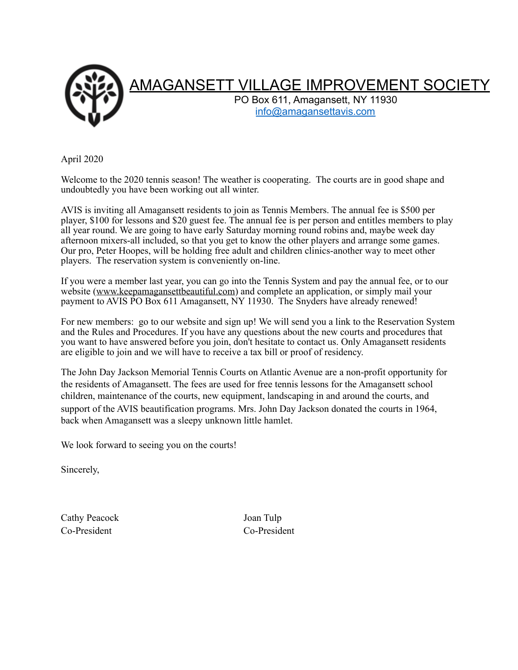

April 2020

Welcome to the 2020 tennis season! The weather is cooperating. The courts are in good shape and undoubtedly you have been working out all winter.

AVIS is inviting all Amagansett residents to join as Tennis Members. The annual fee is \$500 per player, \$100 for lessons and \$20 guest fee. The annual fee is per person and entitles members to play all year round. We are going to have early Saturday morning round robins and, maybe week day afternoon mixers-all included, so that you get to know the other players and arrange some games. Our pro, Peter Hoopes, will be holding free adult and children clinics-another way to meet other players. The reservation system is conveniently on-line.

If you were a member last year, you can go into the Tennis System and pay the annual fee, or to our website ([www.keepamagansettbeautiful.com\)](http://www.keepamagansettbeautiful.com) and complete an application, or simply mail your payment to AVIS PO Box 611 Amagansett, NY 11930. The Snyders have already renewed!

For new members: go to our website and sign up! We will send you a link to the Reservation System and the Rules and Procedures. If you have any questions about the new courts and procedures that you want to have answered before you join, don't hesitate to contact us. Only Amagansett residents are eligible to join and we will have to receive a tax bill or proof of residency.

The John Day Jackson Memorial Tennis Courts on Atlantic Avenue are a non-profit opportunity for the residents of Amagansett. The fees are used for free tennis lessons for the Amagansett school children, maintenance of the courts, new equipment, landscaping in and around the courts, and support of the AVIS beautification programs. Mrs. John Day Jackson donated the courts in 1964, back when Amagansett was a sleepy unknown little hamlet.

We look forward to seeing you on the courts!

Sincerely,

Cathy Peacock Joan Tulp Co-President Co-President